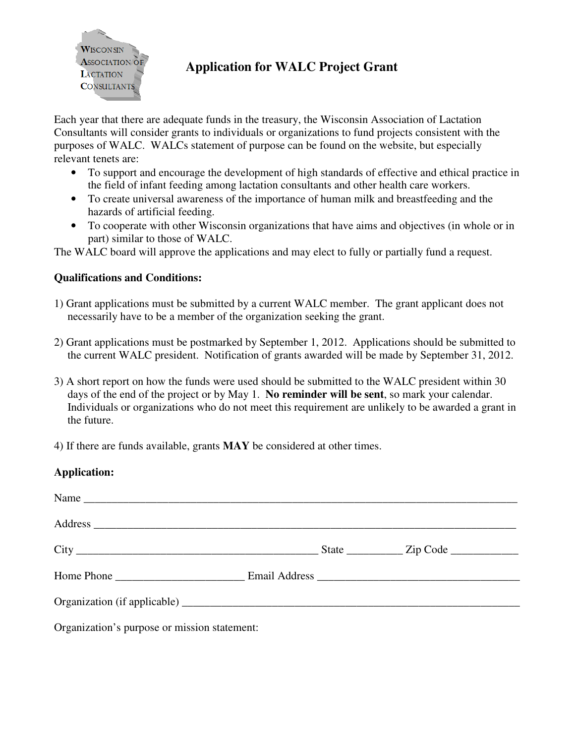

## **Application for WALC Project Grant**

Each year that there are adequate funds in the treasury, the Wisconsin Association of Lactation Consultants will consider grants to individuals or organizations to fund projects consistent with the purposes of WALC. WALCs statement of purpose can be found on the website, but especially relevant tenets are:

- To support and encourage the development of high standards of effective and ethical practice in the field of infant feeding among lactation consultants and other health care workers.
- To create universal awareness of the importance of human milk and breastfeeding and the hazards of artificial feeding.
- To cooperate with other Wisconsin organizations that have aims and objectives (in whole or in part) similar to those of WALC.

The WALC board will approve the applications and may elect to fully or partially fund a request.

## **Qualifications and Conditions:**

- 1) Grant applications must be submitted by a current WALC member. The grant applicant does not necessarily have to be a member of the organization seeking the grant.
- 2) Grant applications must be postmarked by September 1, 2012. Applications should be submitted to the current WALC president. Notification of grants awarded will be made by September 31, 2012.
- 3) A short report on how the funds were used should be submitted to the WALC president within 30 days of the end of the project or by May 1. **No reminder will be sent**, so mark your calendar. Individuals or organizations who do not meet this requirement are unlikely to be awarded a grant in the future.

4) If there are funds available, grants **MAY** be considered at other times.

## **Application:**

| Organization's purpose or mission statement: |  |  |
|----------------------------------------------|--|--|